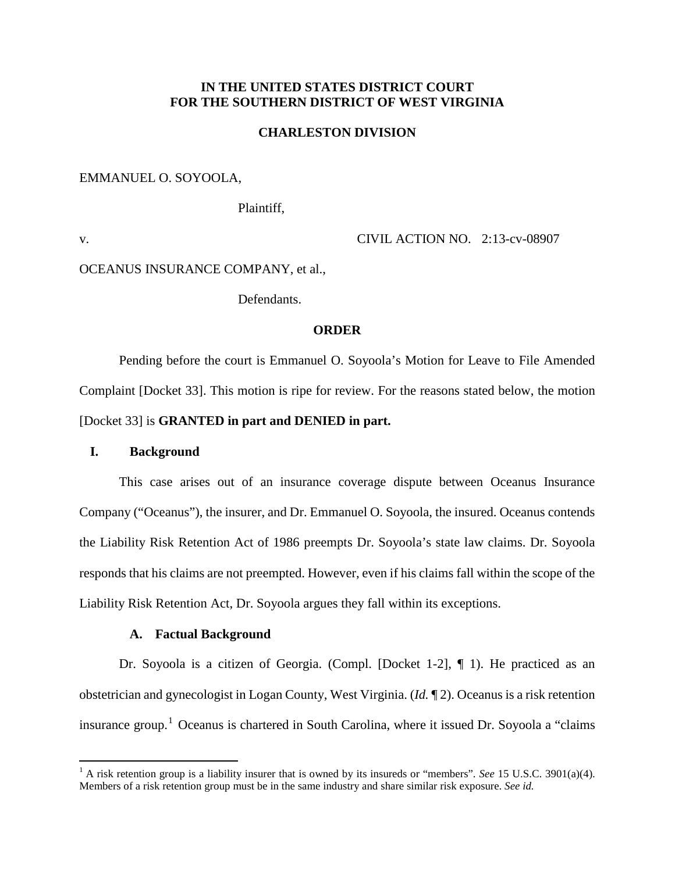# **IN THE UNITED STATES DISTRICT COURT FOR THE SOUTHERN DISTRICT OF WEST VIRGINIA**

# **CHARLESTON DIVISION**

### EMMANUEL O. SOYOOLA,

Plaintiff,

 $\overline{a}$ 

v. CIVIL ACTION NO. 2:13-cv-08907

# OCEANUS INSURANCE COMPANY, et al.,

Defendants.

### **ORDER**

Pending before the court is Emmanuel O. Soyoola's Motion for Leave to File Amended Complaint [Docket 33]. This motion is ripe for review. For the reasons stated below, the motion [Docket 33] is **GRANTED in part and DENIED in part.** 

# **I. Background**

This case arises out of an insurance coverage dispute between Oceanus Insurance Company ("Oceanus"), the insurer, and Dr. Emmanuel O. Soyoola, the insured. Oceanus contends the Liability Risk Retention Act of 1986 preempts Dr. Soyoola's state law claims. Dr. Soyoola responds that his claims are not preempted. However, even if his claims fall within the scope of the Liability Risk Retention Act, Dr. Soyoola argues they fall within its exceptions.

#### **A. Factual Background**

Dr. Soyoola is a citizen of Georgia. (Compl. [Docket 1-2], ¶ 1). He practiced as an obstetrician and gynecologist in Logan County, West Virginia. (*Id.* ¶ 2). Oceanus is a risk retention insurance group. <sup>1</sup> Oceanus is chartered in South Carolina, where it issued Dr. Soyoola a "claims

<sup>&</sup>lt;sup>1</sup> A risk retention group is a liability insurer that is owned by its insureds or "members". *See* 15 U.S.C. 3901(a)(4). Members of a risk retention group must be in the same industry and share similar risk exposure. *See id.*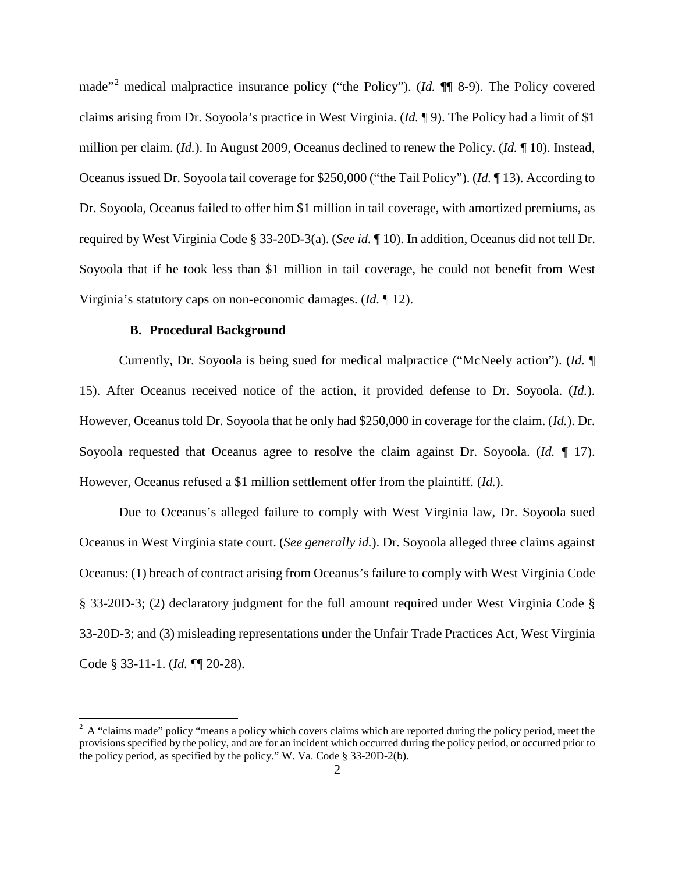made"<sup>2</sup> medical malpractice insurance policy ("the Policy"). (*Id.* ¶¶ 8-9). The Policy covered claims arising from Dr. Soyoola's practice in West Virginia. (*Id.* ¶ 9). The Policy had a limit of \$1 million per claim. (*Id.*). In August 2009, Oceanus declined to renew the Policy. (*Id.* ¶ 10). Instead, Oceanus issued Dr. Soyoola tail coverage for \$250,000 ("the Tail Policy"). (*Id.* ¶ 13). According to Dr. Soyoola, Oceanus failed to offer him \$1 million in tail coverage, with amortized premiums, as required by West Virginia Code § 33-20D-3(a). (*See id.* ¶ 10). In addition, Oceanus did not tell Dr. Soyoola that if he took less than \$1 million in tail coverage, he could not benefit from West Virginia's statutory caps on non-economic damages. (*Id.* ¶ 12).

# **B. Procedural Background**

 $\overline{a}$ 

Currently, Dr. Soyoola is being sued for medical malpractice ("McNeely action"). (*Id.* ¶ 15). After Oceanus received notice of the action, it provided defense to Dr. Soyoola. (*Id.*). However, Oceanus told Dr. Soyoola that he only had \$250,000 in coverage for the claim. (*Id.*). Dr. Soyoola requested that Oceanus agree to resolve the claim against Dr. Soyoola. (*Id. ¶* 17). However, Oceanus refused a \$1 million settlement offer from the plaintiff. (*Id.*).

Due to Oceanus's alleged failure to comply with West Virginia law, Dr. Soyoola sued Oceanus in West Virginia state court. (*See generally id.*). Dr. Soyoola alleged three claims against Oceanus: (1) breach of contract arising from Oceanus's failure to comply with West Virginia Code § 33-20D-3; (2) declaratory judgment for the full amount required under West Virginia Code § 33-20D-3; and (3) misleading representations under the Unfair Trade Practices Act, West Virginia Code § 33-11-1. (*Id.* ¶¶ 20-28).

 $2^2$  A "claims made" policy "means a policy which covers claims which are reported during the policy period, meet the provisions specified by the policy, and are for an incident which occurred during the policy period, or occurred prior to the policy period, as specified by the policy." W. Va. Code § 33-20D-2(b).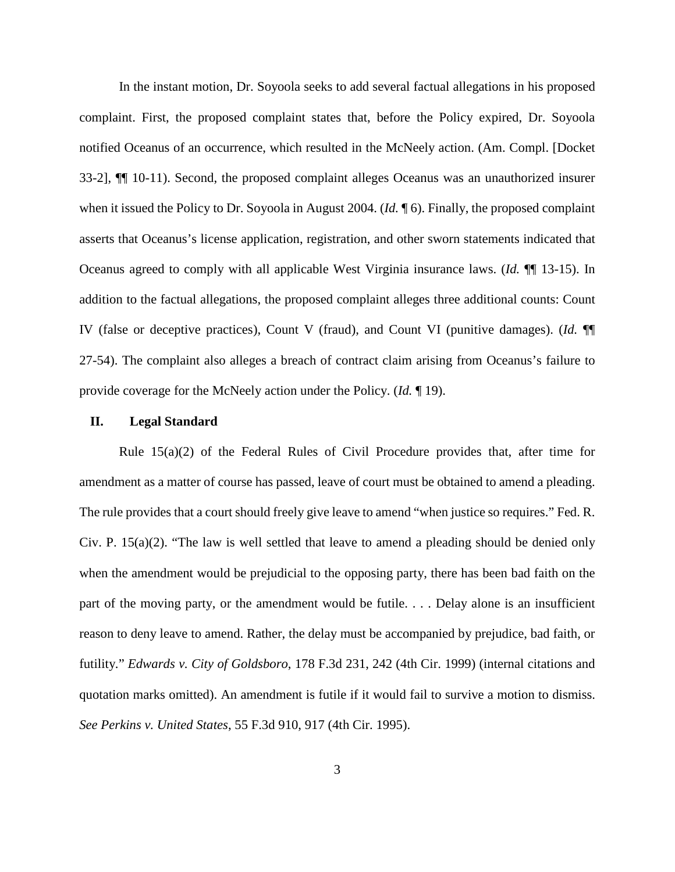In the instant motion, Dr. Soyoola seeks to add several factual allegations in his proposed complaint. First, the proposed complaint states that, before the Policy expired, Dr. Soyoola notified Oceanus of an occurrence, which resulted in the McNeely action. (Am. Compl. [Docket 33-2], ¶¶ 10-11). Second, the proposed complaint alleges Oceanus was an unauthorized insurer when it issued the Policy to Dr. Soyoola in August 2004. (*Id.* ¶ 6). Finally, the proposed complaint asserts that Oceanus's license application, registration, and other sworn statements indicated that Oceanus agreed to comply with all applicable West Virginia insurance laws. (*Id.* ¶¶ 13-15). In addition to the factual allegations, the proposed complaint alleges three additional counts: Count IV (false or deceptive practices), Count V (fraud), and Count VI (punitive damages). (*Id.* ¶¶ 27-54). The complaint also alleges a breach of contract claim arising from Oceanus's failure to provide coverage for the McNeely action under the Policy. (*Id.* ¶ 19).

#### **II. Legal Standard**

Rule 15(a)(2) of the Federal Rules of Civil Procedure provides that, after time for amendment as a matter of course has passed, leave of court must be obtained to amend a pleading. The rule provides that a court should freely give leave to amend "when justice so requires." Fed. R. Civ. P. 15(a)(2). "The law is well settled that leave to amend a pleading should be denied only when the amendment would be prejudicial to the opposing party, there has been bad faith on the part of the moving party, or the amendment would be futile. . . . Delay alone is an insufficient reason to deny leave to amend. Rather, the delay must be accompanied by prejudice, bad faith, or futility." *Edwards v. City of Goldsboro*, 178 F.3d 231, 242 (4th Cir. 1999) (internal citations and quotation marks omitted). An amendment is futile if it would fail to survive a motion to dismiss. *See Perkins v. United States*, 55 F.3d 910, 917 (4th Cir. 1995).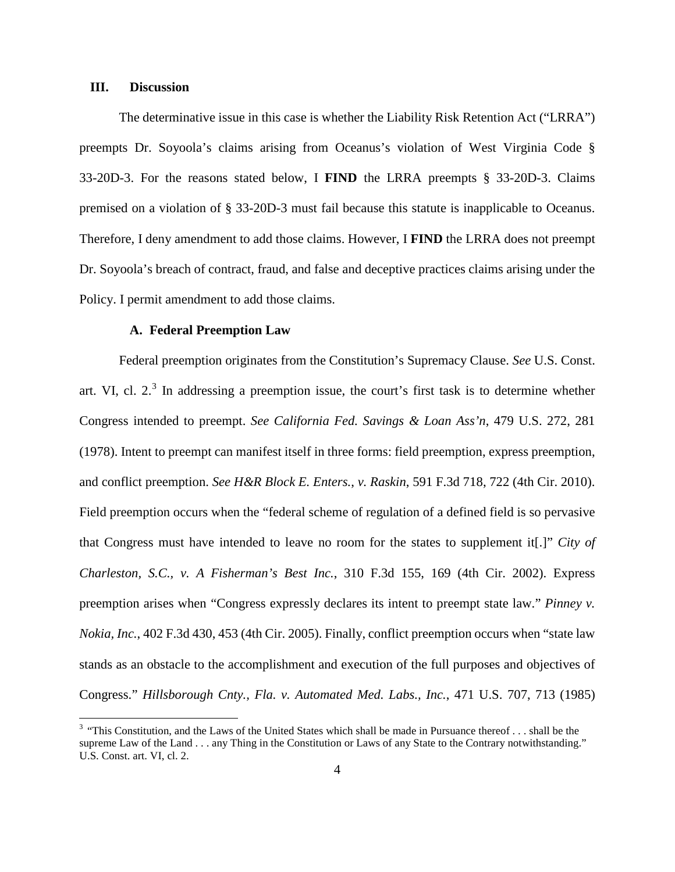### **III. Discussion**

 $\overline{a}$ 

The determinative issue in this case is whether the Liability Risk Retention Act ("LRRA") preempts Dr. Soyoola's claims arising from Oceanus's violation of West Virginia Code § 33-20D-3. For the reasons stated below, I **FIND** the LRRA preempts § 33-20D-3. Claims premised on a violation of § 33-20D-3 must fail because this statute is inapplicable to Oceanus. Therefore, I deny amendment to add those claims. However, I **FIND** the LRRA does not preempt Dr. Soyoola's breach of contract, fraud, and false and deceptive practices claims arising under the Policy. I permit amendment to add those claims.

# **A. Federal Preemption Law**

Federal preemption originates from the Constitution's Supremacy Clause. *See* U.S. Const. art. VI, cl.  $2<sup>3</sup>$  In addressing a preemption issue, the court's first task is to determine whether Congress intended to preempt. *See California Fed. Savings & Loan Ass'n*, 479 U.S. 272, 281 (1978). Intent to preempt can manifest itself in three forms: field preemption, express preemption, and conflict preemption. *See H&R Block E. Enters.*, *v. Raskin*, 591 F.3d 718, 722 (4th Cir. 2010). Field preemption occurs when the "federal scheme of regulation of a defined field is so pervasive that Congress must have intended to leave no room for the states to supplement it[.]" *City of Charleston, S.C., v. A Fisherman's Best Inc.*, 310 F.3d 155, 169 (4th Cir. 2002). Express preemption arises when "Congress expressly declares its intent to preempt state law." *Pinney v. Nokia, Inc.*, 402 F.3d 430, 453 (4th Cir. 2005). Finally, conflict preemption occurs when "state law stands as an obstacle to the accomplishment and execution of the full purposes and objectives of Congress." *Hillsborough Cnty., Fla. v. Automated Med. Labs., Inc.*, 471 U.S. 707, 713 (1985)

 $3$  "This Constitution, and the Laws of the United States which shall be made in Pursuance thereof ... shall be the supreme Law of the Land . . . any Thing in the Constitution or Laws of any State to the Contrary notwithstanding." U.S. Const. art. VI, cl. 2.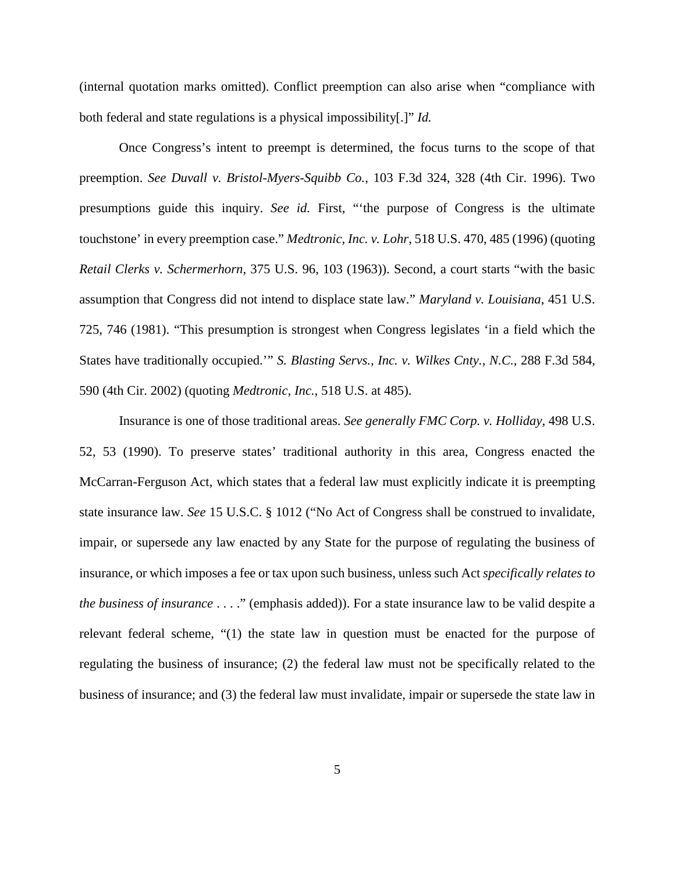(internal quotation marks omitted). Conflict preemption can also arise when "compliance with both federal and state regulations is a physical impossibility[.]" *Id.* 

Once Congress's intent to preempt is determined, the focus turns to the scope of that preemption. *See Duvall v. Bristol-Myers-Squibb Co.*, 103 F.3d 324, 328 (4th Cir. 1996). Two presumptions guide this inquiry. *See id.* First, "'the purpose of Congress is the ultimate touchstone' in every preemption case." *Medtronic, Inc. v. Lohr*, 518 U.S. 470, 485 (1996) (quoting *Retail Clerks v. Schermerhorn*, 375 U.S. 96, 103 (1963)). Second, a court starts "with the basic assumption that Congress did not intend to displace state law." *Maryland v. Louisiana*, 451 U.S. 725, 746 (1981). "This presumption is strongest when Congress legislates 'in a field which the States have traditionally occupied.'" *S. Blasting Servs., Inc. v. Wilkes Cnty., N.C.*, 288 F.3d 584, 590 (4th Cir. 2002) (quoting *Medtronic, Inc.*, 518 U.S. at 485).

Insurance is one of those traditional areas. *See generally FMC Corp. v. Holliday*, 498 U.S. 52, 53 (1990). To preserve states' traditional authority in this area, Congress enacted the McCarran-Ferguson Act, which states that a federal law must explicitly indicate it is preempting state insurance law. *See* 15 U.S.C. § 1012 ("No Act of Congress shall be construed to invalidate, impair, or supersede any law enacted by any State for the purpose of regulating the business of insurance, or which imposes a fee or tax upon such business, unless such Act *specifically relates to the business of insurance* . . . ." (emphasis added)). For a state insurance law to be valid despite a relevant federal scheme, "(1) the state law in question must be enacted for the purpose of regulating the business of insurance; (2) the federal law must not be specifically related to the business of insurance; and (3) the federal law must invalidate, impair or supersede the state law in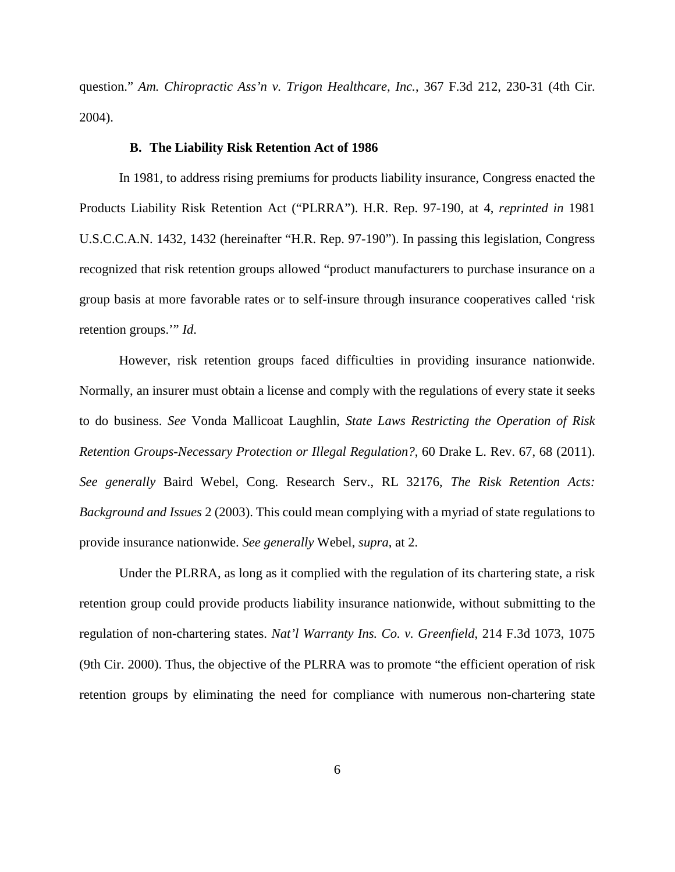question." *Am. Chiropractic Ass'n v. Trigon Healthcare, Inc.*, 367 F.3d 212, 230-31 (4th Cir. 2004).

#### **B. The Liability Risk Retention Act of 1986**

In 1981, to address rising premiums for products liability insurance, Congress enacted the Products Liability Risk Retention Act ("PLRRA"). H.R. Rep. 97-190, at 4, *reprinted in* 1981 U.S.C.C.A.N. 1432, 1432 (hereinafter "H.R. Rep. 97-190"). In passing this legislation, Congress recognized that risk retention groups allowed "product manufacturers to purchase insurance on a group basis at more favorable rates or to self-insure through insurance cooperatives called 'risk retention groups.'" *Id*.

However, risk retention groups faced difficulties in providing insurance nationwide. Normally, an insurer must obtain a license and comply with the regulations of every state it seeks to do business. *See* Vonda Mallicoat Laughlin, *State Laws Restricting the Operation of Risk Retention Groups-Necessary Protection or Illegal Regulation?*, 60 Drake L. Rev. 67, 68 (2011). *See generally* Baird Webel, Cong. Research Serv., RL 32176, *The Risk Retention Acts: Background and Issues* 2 (2003). This could mean complying with a myriad of state regulations to provide insurance nationwide. *See generally* Webel, *supra*, at 2.

Under the PLRRA, as long as it complied with the regulation of its chartering state, a risk retention group could provide products liability insurance nationwide, without submitting to the regulation of non-chartering states. *Nat'l Warranty Ins. Co. v. Greenfield*, 214 F.3d 1073, 1075 (9th Cir. 2000). Thus, the objective of the PLRRA was to promote "the efficient operation of risk retention groups by eliminating the need for compliance with numerous non-chartering state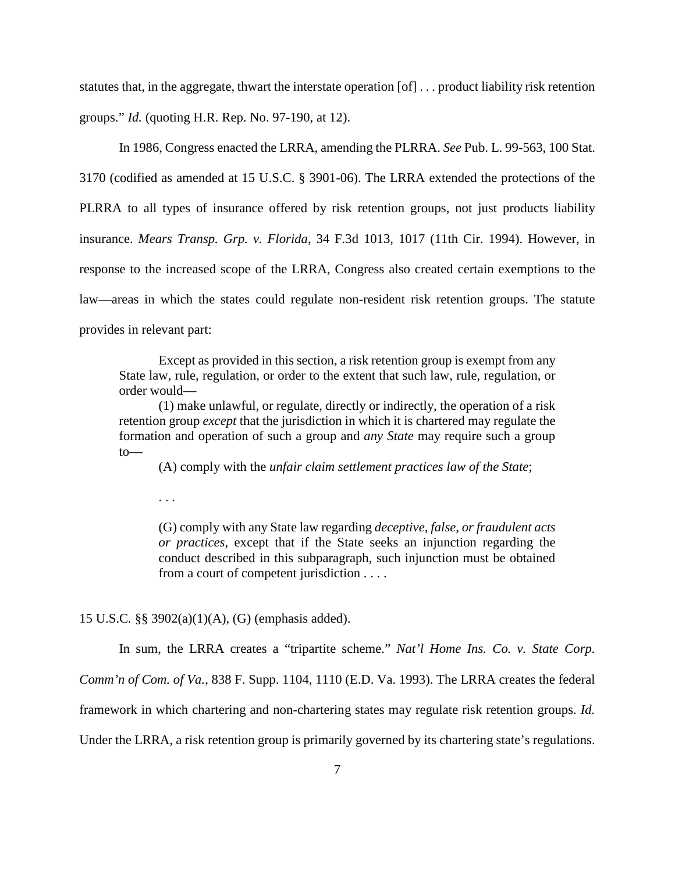statutes that, in the aggregate, thwart the interstate operation [of] . . . product liability risk retention groups." *Id.* (quoting H.R. Rep. No. 97-190, at 12).

In 1986, Congress enacted the LRRA, amending the PLRRA. *See* Pub. L. 99-563, 100 Stat.

3170 (codified as amended at 15 U.S.C. § 3901-06). The LRRA extended the protections of the PLRRA to all types of insurance offered by risk retention groups, not just products liability insurance. *Mears Transp. Grp. v. Florida*, 34 F.3d 1013, 1017 (11th Cir. 1994). However, in response to the increased scope of the LRRA, Congress also created certain exemptions to the law—areas in which the states could regulate non-resident risk retention groups. The statute provides in relevant part:

Except as provided in this section, a risk retention group is exempt from any State law, rule, regulation, or order to the extent that such law, rule, regulation, or order would—

(1) make unlawful, or regulate, directly or indirectly, the operation of a risk retention group *except* that the jurisdiction in which it is chartered may regulate the formation and operation of such a group and *any State* may require such a group to—

(A) comply with the *unfair claim settlement practices law of the State*;

. . .

(G) comply with any State law regarding *deceptive, false, or fraudulent acts or practices*, except that if the State seeks an injunction regarding the conduct described in this subparagraph, such injunction must be obtained from a court of competent jurisdiction . . . .

15 U.S.C*.* §§ 3902(a)(1)(A), (G) (emphasis added).

In sum, the LRRA creates a "tripartite scheme." *Nat'l Home Ins. Co. v. State Corp.* 

*Comm'n of Com. of Va.*, 838 F. Supp. 1104, 1110 (E.D. Va. 1993). The LRRA creates the federal

framework in which chartering and non-chartering states may regulate risk retention groups. *Id.* 

Under the LRRA, a risk retention group is primarily governed by its chartering state's regulations.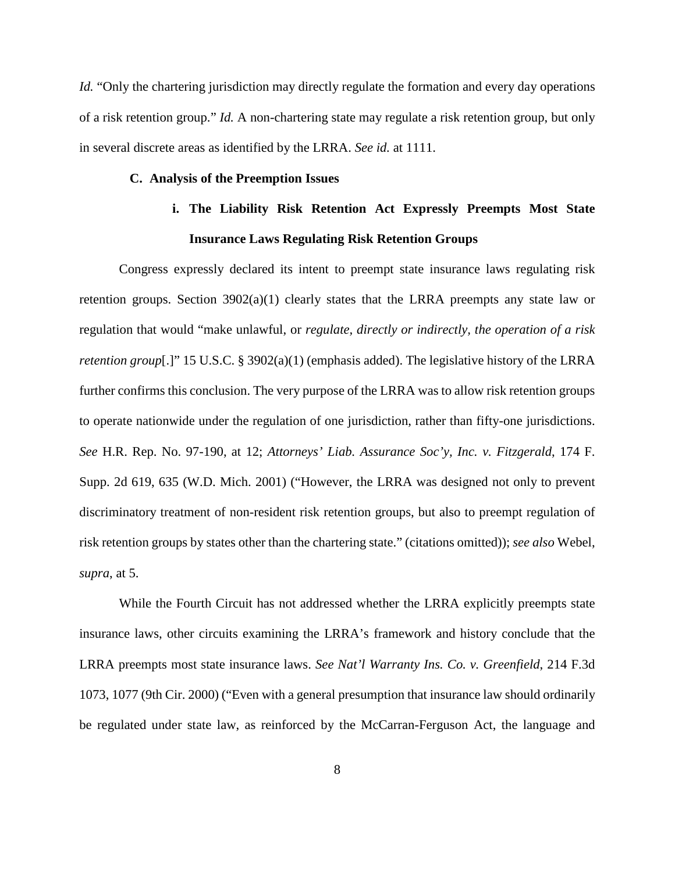*Id.* "Only the chartering jurisdiction may directly regulate the formation and every day operations of a risk retention group." *Id.* A non-chartering state may regulate a risk retention group, but only in several discrete areas as identified by the LRRA. *See id.* at 1111.

### **C. Analysis of the Preemption Issues**

# **i. The Liability Risk Retention Act Expressly Preempts Most State Insurance Laws Regulating Risk Retention Groups**

Congress expressly declared its intent to preempt state insurance laws regulating risk retention groups. Section  $3902(a)(1)$  clearly states that the LRRA preempts any state law or regulation that would "make unlawful, or *regulate, directly or indirectly, the operation of a risk retention group*[.]" 15 U.S.C. § 3902(a)(1) (emphasis added). The legislative history of the LRRA further confirms this conclusion. The very purpose of the LRRA was to allow risk retention groups to operate nationwide under the regulation of one jurisdiction, rather than fifty-one jurisdictions. *See* H.R. Rep. No. 97-190, at 12; *Attorneys' Liab. Assurance Soc'y, Inc. v. Fitzgerald*, 174 F. Supp. 2d 619, 635 (W.D. Mich. 2001) ("However, the LRRA was designed not only to prevent discriminatory treatment of non-resident risk retention groups, but also to preempt regulation of risk retention groups by states other than the chartering state." (citations omitted)); *see also* Webel, *supra*, at 5.

While the Fourth Circuit has not addressed whether the LRRA explicitly preempts state insurance laws, other circuits examining the LRRA's framework and history conclude that the LRRA preempts most state insurance laws. *See Nat'l Warranty Ins. Co. v. Greenfield*, 214 F.3d 1073, 1077 (9th Cir. 2000) ("Even with a general presumption that insurance law should ordinarily be regulated under state law, as reinforced by the McCarran-Ferguson Act, the language and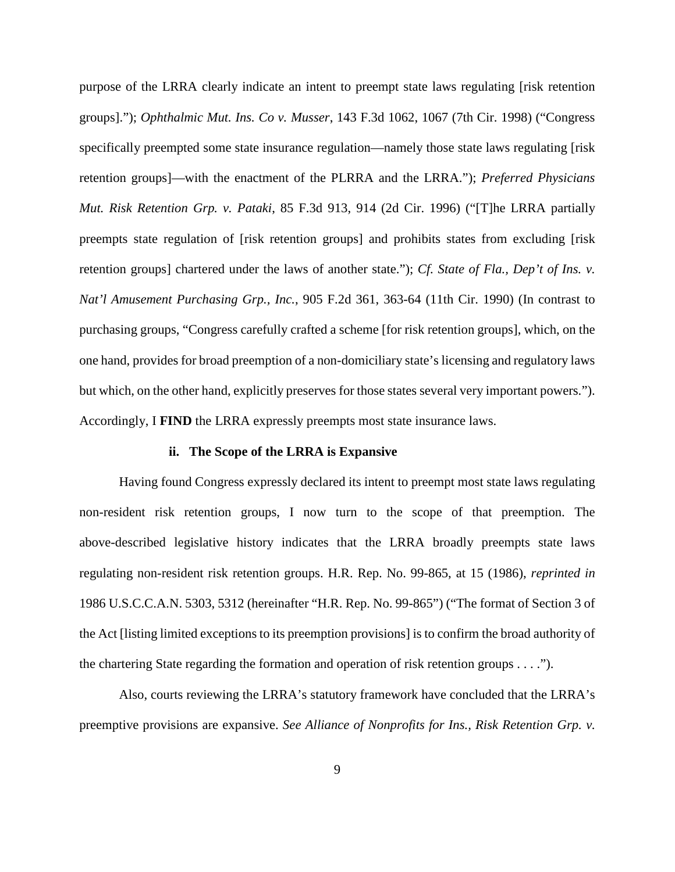purpose of the LRRA clearly indicate an intent to preempt state laws regulating [risk retention groups]."); *Ophthalmic Mut. Ins. Co v. Musser*, 143 F.3d 1062, 1067 (7th Cir. 1998) ("Congress specifically preempted some state insurance regulation—namely those state laws regulating [risk retention groups]—with the enactment of the PLRRA and the LRRA."); *Preferred Physicians Mut. Risk Retention Grp. v. Pataki*, 85 F.3d 913, 914 (2d Cir. 1996) ("[T]he LRRA partially preempts state regulation of [risk retention groups] and prohibits states from excluding [risk retention groups] chartered under the laws of another state."); *Cf. State of Fla., Dep't of Ins. v. Nat'l Amusement Purchasing Grp., Inc.*, 905 F.2d 361, 363-64 (11th Cir. 1990) (In contrast to purchasing groups, "Congress carefully crafted a scheme [for risk retention groups], which, on the one hand, provides for broad preemption of a non-domiciliary state's licensing and regulatory laws but which, on the other hand, explicitly preserves for those states several very important powers."). Accordingly, I **FIND** the LRRA expressly preempts most state insurance laws.

# **ii. The Scope of the LRRA is Expansive**

Having found Congress expressly declared its intent to preempt most state laws regulating non-resident risk retention groups, I now turn to the scope of that preemption. The above-described legislative history indicates that the LRRA broadly preempts state laws regulating non-resident risk retention groups. H.R. Rep. No. 99-865, at 15 (1986), *reprinted in*  1986 U.S.C.C.A.N. 5303, 5312 (hereinafter "H.R. Rep. No. 99-865") ("The format of Section 3 of the Act [listing limited exceptions to its preemption provisions] is to confirm the broad authority of the chartering State regarding the formation and operation of risk retention groups . . . .").

Also, courts reviewing the LRRA's statutory framework have concluded that the LRRA's preemptive provisions are expansive. *See Alliance of Nonprofits for Ins., Risk Retention Grp. v.*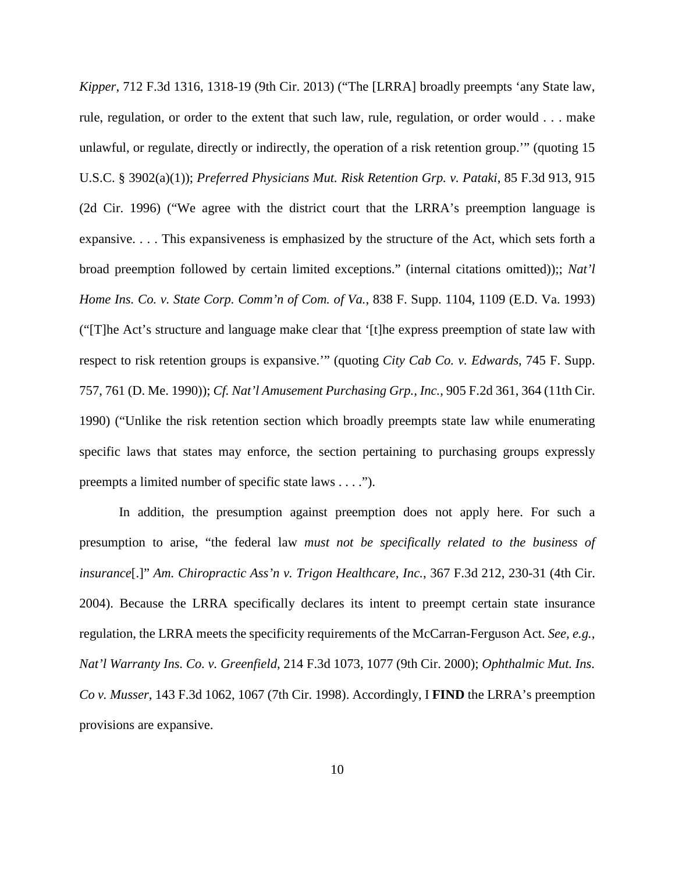*Kipper*, 712 F.3d 1316, 1318-19 (9th Cir. 2013) ("The [LRRA] broadly preempts 'any State law, rule, regulation, or order to the extent that such law, rule, regulation, or order would . . . make unlawful, or regulate, directly or indirectly, the operation of a risk retention group.'" (quoting 15 U.S.C. § 3902(a)(1)); *Preferred Physicians Mut. Risk Retention Grp. v. Pataki*, 85 F.3d 913, 915 (2d Cir. 1996) ("We agree with the district court that the LRRA's preemption language is expansive. . . . This expansiveness is emphasized by the structure of the Act, which sets forth a broad preemption followed by certain limited exceptions." (internal citations omitted));; *Nat'l Home Ins. Co. v. State Corp. Comm'n of Com. of Va.*, 838 F. Supp. 1104, 1109 (E.D. Va. 1993) ("[T]he Act's structure and language make clear that '[t]he express preemption of state law with respect to risk retention groups is expansive.'" (quoting *City Cab Co. v. Edwards*, 745 F. Supp. 757, 761 (D. Me. 1990)); *Cf. Nat'l Amusement Purchasing Grp., Inc.*, 905 F.2d 361, 364 (11th Cir. 1990) ("Unlike the risk retention section which broadly preempts state law while enumerating specific laws that states may enforce, the section pertaining to purchasing groups expressly preempts a limited number of specific state laws . . . .").

In addition, the presumption against preemption does not apply here. For such a presumption to arise, "the federal law *must not be specifically related to the business of insurance*[.]" *Am. Chiropractic Ass'n v. Trigon Healthcare, Inc.*, 367 F.3d 212, 230-31 (4th Cir. 2004). Because the LRRA specifically declares its intent to preempt certain state insurance regulation, the LRRA meets the specificity requirements of the McCarran-Ferguson Act. *See, e.g.*, *Nat'l Warranty Ins. Co. v. Greenfield*, 214 F.3d 1073, 1077 (9th Cir. 2000); *Ophthalmic Mut. Ins. Co v. Musser*, 143 F.3d 1062, 1067 (7th Cir. 1998). Accordingly, I **FIND** the LRRA's preemption provisions are expansive.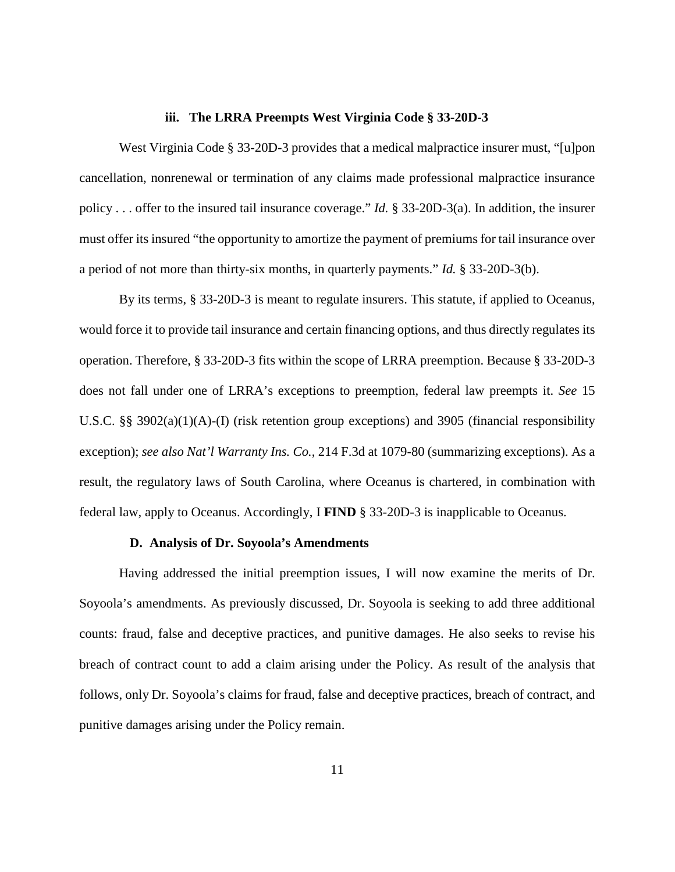#### **iii. The LRRA Preempts West Virginia Code § 33-20D-3**

West Virginia Code § 33-20D-3 provides that a medical malpractice insurer must, "[u]pon cancellation, nonrenewal or termination of any claims made professional malpractice insurance policy . . . offer to the insured tail insurance coverage." *Id.* § 33-20D-3(a). In addition, the insurer must offer its insured "the opportunity to amortize the payment of premiums for tail insurance over a period of not more than thirty-six months, in quarterly payments." *Id.* § 33-20D-3(b).

By its terms, § 33-20D-3 is meant to regulate insurers. This statute, if applied to Oceanus, would force it to provide tail insurance and certain financing options, and thus directly regulates its operation. Therefore, § 33-20D-3 fits within the scope of LRRA preemption. Because § 33-20D-3 does not fall under one of LRRA's exceptions to preemption, federal law preempts it. *See* 15 U.S.C. §§ 3902(a)(1)(A)-(I) (risk retention group exceptions) and 3905 (financial responsibility exception); *see also Nat'l Warranty Ins. Co.*, 214 F.3d at 1079-80 (summarizing exceptions). As a result, the regulatory laws of South Carolina, where Oceanus is chartered, in combination with federal law, apply to Oceanus. Accordingly, I **FIND** § 33-20D-3 is inapplicable to Oceanus.

#### **D. Analysis of Dr. Soyoola's Amendments**

Having addressed the initial preemption issues, I will now examine the merits of Dr. Soyoola's amendments. As previously discussed, Dr. Soyoola is seeking to add three additional counts: fraud, false and deceptive practices, and punitive damages. He also seeks to revise his breach of contract count to add a claim arising under the Policy. As result of the analysis that follows, only Dr. Soyoola's claims for fraud, false and deceptive practices, breach of contract, and punitive damages arising under the Policy remain.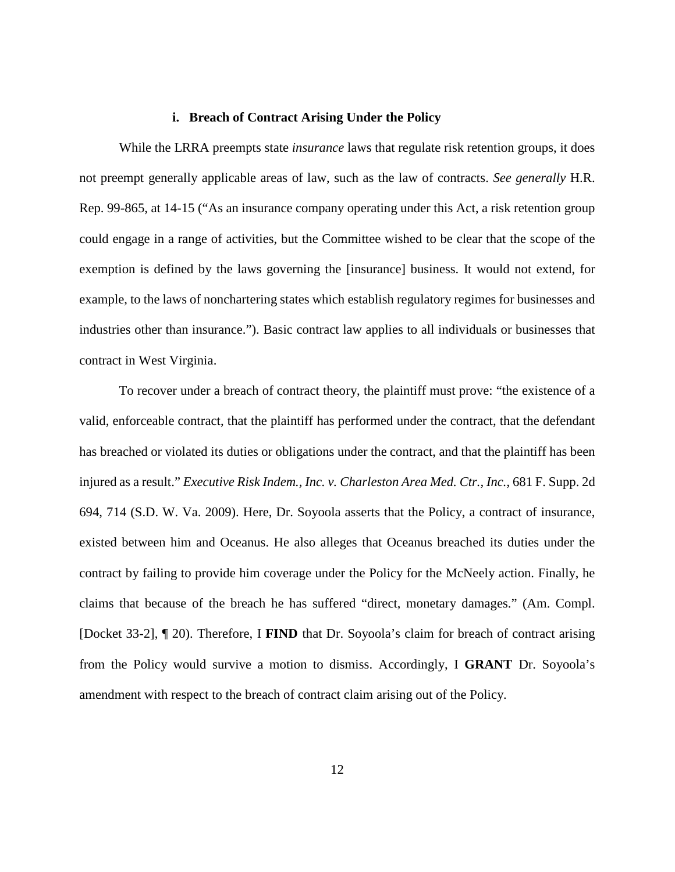#### **i. Breach of Contract Arising Under the Policy**

While the LRRA preempts state *insurance* laws that regulate risk retention groups, it does not preempt generally applicable areas of law, such as the law of contracts. *See generally* H.R. Rep. 99-865, at 14-15 ("As an insurance company operating under this Act, a risk retention group could engage in a range of activities, but the Committee wished to be clear that the scope of the exemption is defined by the laws governing the [insurance] business. It would not extend, for example, to the laws of nonchartering states which establish regulatory regimes for businesses and industries other than insurance."). Basic contract law applies to all individuals or businesses that contract in West Virginia.

To recover under a breach of contract theory, the plaintiff must prove: "the existence of a valid, enforceable contract, that the plaintiff has performed under the contract, that the defendant has breached or violated its duties or obligations under the contract, and that the plaintiff has been injured as a result." *Executive Risk Indem., Inc. v. Charleston Area Med. Ctr., Inc.*, 681 F. Supp. 2d 694, 714 (S.D. W. Va. 2009). Here, Dr. Soyoola asserts that the Policy, a contract of insurance, existed between him and Oceanus. He also alleges that Oceanus breached its duties under the contract by failing to provide him coverage under the Policy for the McNeely action. Finally, he claims that because of the breach he has suffered "direct, monetary damages." (Am. Compl. [Docket 33-2], ¶ 20). Therefore, I **FIND** that Dr. Soyoola's claim for breach of contract arising from the Policy would survive a motion to dismiss. Accordingly, I **GRANT** Dr. Soyoola's amendment with respect to the breach of contract claim arising out of the Policy.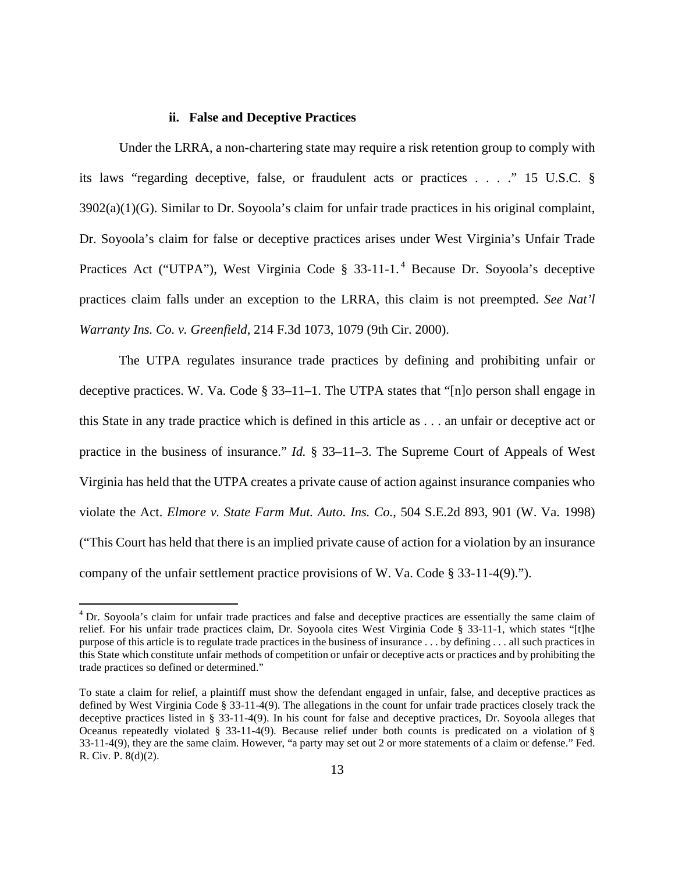#### **ii. False and Deceptive Practices**

Under the LRRA, a non-chartering state may require a risk retention group to comply with its laws "regarding deceptive, false, or fraudulent acts or practices . . . ." 15 U.S.C. §  $3902(a)(1)(G)$ . Similar to Dr. Soyoola's claim for unfair trade practices in his original complaint, Dr. Soyoola's claim for false or deceptive practices arises under West Virginia's Unfair Trade Practices Act ("UTPA"), West Virginia Code § 33-11-1.<sup>4</sup> Because Dr. Soyoola's deceptive practices claim falls under an exception to the LRRA, this claim is not preempted. *See Nat'l Warranty Ins. Co. v. Greenfield*, 214 F.3d 1073, 1079 (9th Cir. 2000).

The UTPA regulates insurance trade practices by defining and prohibiting unfair or deceptive practices. W. Va. Code § 33–11–1. The UTPA states that "[n]o person shall engage in this State in any trade practice which is defined in this article as . . . an unfair or deceptive act or practice in the business of insurance." *Id.* § 33–11–3. The Supreme Court of Appeals of West Virginia has held that the UTPA creates a private cause of action against insurance companies who violate the Act. *Elmore v. State Farm Mut. Auto. Ins. Co.*, 504 S.E.2d 893, 901 (W. Va. 1998) ("This Court has held that there is an implied private cause of action for a violation by an insurance company of the unfair settlement practice provisions of W. Va. Code § 33-11-4(9).").

 $\overline{a}$ 

<sup>4</sup> Dr. Soyoola's claim for unfair trade practices and false and deceptive practices are essentially the same claim of relief. For his unfair trade practices claim, Dr. Soyoola cites West Virginia Code § 33-11-1, which states "[t]he purpose of this article is to regulate trade practices in the business of insurance . . . by defining . . . all such practices in this State which constitute unfair methods of competition or unfair or deceptive acts or practices and by prohibiting the trade practices so defined or determined."

To state a claim for relief, a plaintiff must show the defendant engaged in unfair, false, and deceptive practices as defined by West Virginia Code § 33-11-4(9). The allegations in the count for unfair trade practices closely track the deceptive practices listed in § 33-11-4(9). In his count for false and deceptive practices, Dr. Soyoola alleges that Oceanus repeatedly violated § 33-11-4(9). Because relief under both counts is predicated on a violation of § 33-11-4(9), they are the same claim. However, "a party may set out 2 or more statements of a claim or defense." Fed. R. Civ. P. 8(d)(2).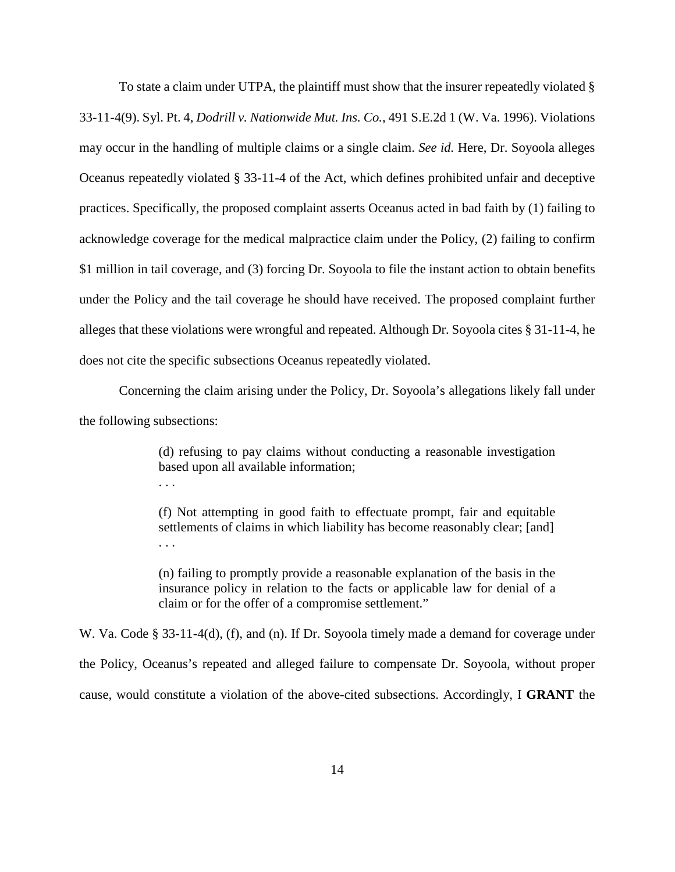To state a claim under UTPA, the plaintiff must show that the insurer repeatedly violated § 33-11-4(9). Syl. Pt. 4, *Dodrill v. Nationwide Mut. Ins. Co.*, 491 S.E.2d 1 (W. Va. 1996). Violations may occur in the handling of multiple claims or a single claim. *See id.* Here, Dr. Soyoola alleges Oceanus repeatedly violated § 33-11-4 of the Act, which defines prohibited unfair and deceptive practices. Specifically, the proposed complaint asserts Oceanus acted in bad faith by (1) failing to acknowledge coverage for the medical malpractice claim under the Policy, (2) failing to confirm \$1 million in tail coverage, and (3) forcing Dr. Soyoola to file the instant action to obtain benefits under the Policy and the tail coverage he should have received. The proposed complaint further alleges that these violations were wrongful and repeated. Although Dr. Soyoola cites § 31-11-4, he does not cite the specific subsections Oceanus repeatedly violated.

Concerning the claim arising under the Policy, Dr. Soyoola's allegations likely fall under the following subsections:

. . .

(d) refusing to pay claims without conducting a reasonable investigation based upon all available information;

(f) Not attempting in good faith to effectuate prompt, fair and equitable settlements of claims in which liability has become reasonably clear; [and] . . .

(n) failing to promptly provide a reasonable explanation of the basis in the insurance policy in relation to the facts or applicable law for denial of a claim or for the offer of a compromise settlement."

W. Va. Code § 33-11-4(d), (f), and (n). If Dr. Soyoola timely made a demand for coverage under the Policy, Oceanus's repeated and alleged failure to compensate Dr. Soyoola, without proper cause, would constitute a violation of the above-cited subsections. Accordingly, I **GRANT** the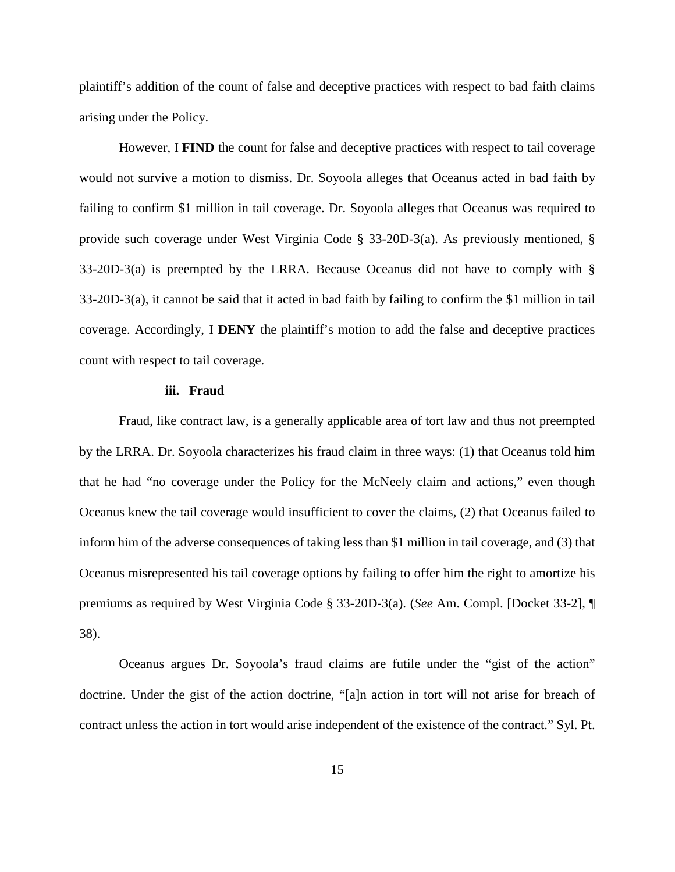plaintiff's addition of the count of false and deceptive practices with respect to bad faith claims arising under the Policy.

However, I **FIND** the count for false and deceptive practices with respect to tail coverage would not survive a motion to dismiss. Dr. Soyoola alleges that Oceanus acted in bad faith by failing to confirm \$1 million in tail coverage. Dr. Soyoola alleges that Oceanus was required to provide such coverage under West Virginia Code § 33-20D-3(a). As previously mentioned, § 33-20D-3(a) is preempted by the LRRA. Because Oceanus did not have to comply with § 33-20D-3(a), it cannot be said that it acted in bad faith by failing to confirm the \$1 million in tail coverage. Accordingly, I **DENY** the plaintiff's motion to add the false and deceptive practices count with respect to tail coverage.

# **iii. Fraud**

Fraud, like contract law, is a generally applicable area of tort law and thus not preempted by the LRRA. Dr. Soyoola characterizes his fraud claim in three ways: (1) that Oceanus told him that he had "no coverage under the Policy for the McNeely claim and actions," even though Oceanus knew the tail coverage would insufficient to cover the claims, (2) that Oceanus failed to inform him of the adverse consequences of taking less than \$1 million in tail coverage, and (3) that Oceanus misrepresented his tail coverage options by failing to offer him the right to amortize his premiums as required by West Virginia Code § 33-20D-3(a). (*See* Am. Compl. [Docket 33-2], ¶ 38).

Oceanus argues Dr. Soyoola's fraud claims are futile under the "gist of the action" doctrine. Under the gist of the action doctrine, "[a]n action in tort will not arise for breach of contract unless the action in tort would arise independent of the existence of the contract." Syl. Pt.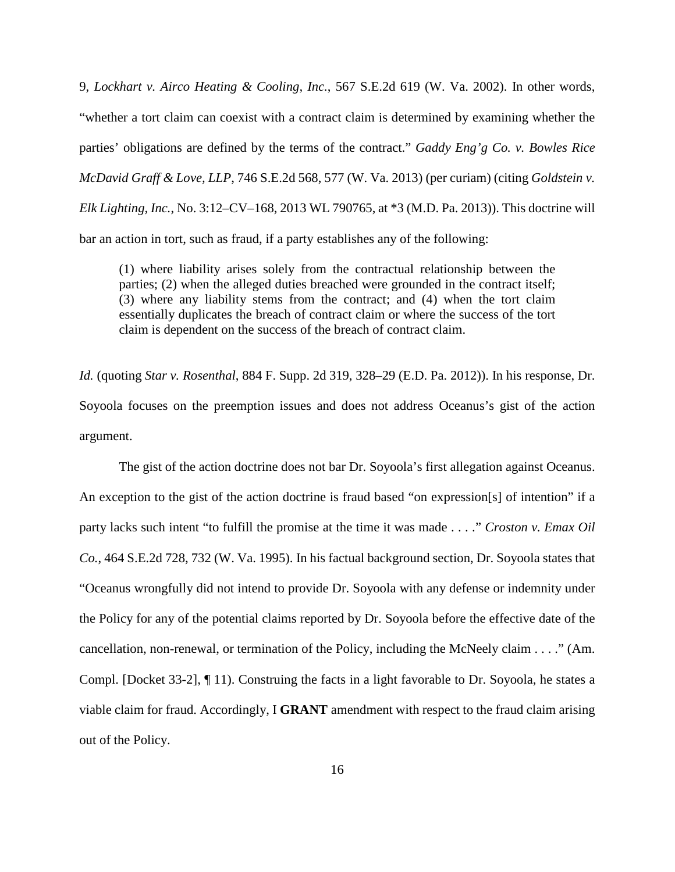9, *Lockhart v. Airco Heating & Cooling, Inc.*, 567 S.E.2d 619 (W. Va. 2002). In other words, "whether a tort claim can coexist with a contract claim is determined by examining whether the parties' obligations are defined by the terms of the contract." *Gaddy Eng'g Co. v. Bowles Rice McDavid Graff & Love, LLP*, 746 S.E.2d 568, 577 (W. Va. 2013) (per curiam) (citing *Goldstein v. Elk Lighting, Inc.*, No. 3:12–CV–168, 2013 WL 790765, at \*3 (M.D. Pa. 2013)). This doctrine will bar an action in tort, such as fraud, if a party establishes any of the following:

(1) where liability arises solely from the contractual relationship between the parties; (2) when the alleged duties breached were grounded in the contract itself; (3) where any liability stems from the contract; and (4) when the tort claim essentially duplicates the breach of contract claim or where the success of the tort claim is dependent on the success of the breach of contract claim.

*Id.* (quoting *Star v. Rosenthal*, 884 F. Supp. 2d 319, 328–29 (E.D. Pa. 2012)). In his response, Dr. Soyoola focuses on the preemption issues and does not address Oceanus's gist of the action argument.

The gist of the action doctrine does not bar Dr. Soyoola's first allegation against Oceanus. An exception to the gist of the action doctrine is fraud based "on expression[s] of intention" if a party lacks such intent "to fulfill the promise at the time it was made . . . ." *Croston v. Emax Oil Co.*, 464 S.E.2d 728, 732 (W. Va. 1995). In his factual background section, Dr. Soyoola states that "Oceanus wrongfully did not intend to provide Dr. Soyoola with any defense or indemnity under the Policy for any of the potential claims reported by Dr. Soyoola before the effective date of the cancellation, non-renewal, or termination of the Policy, including the McNeely claim . . . ." (Am. Compl. [Docket 33-2], ¶ 11). Construing the facts in a light favorable to Dr. Soyoola, he states a viable claim for fraud. Accordingly, I **GRANT** amendment with respect to the fraud claim arising out of the Policy.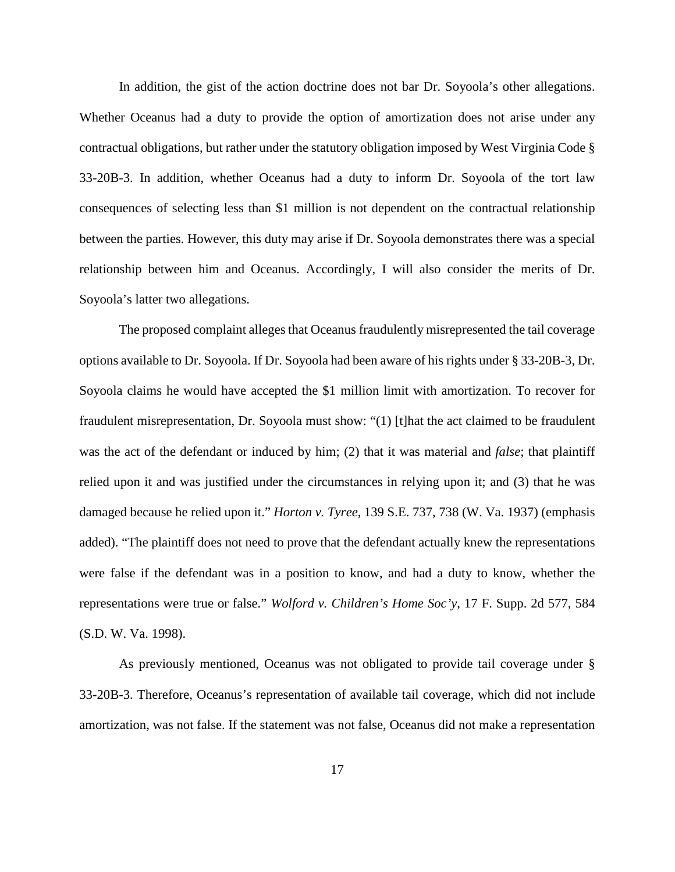In addition, the gist of the action doctrine does not bar Dr. Soyoola's other allegations. Whether Oceanus had a duty to provide the option of amortization does not arise under any contractual obligations, but rather under the statutory obligation imposed by West Virginia Code § 33-20B-3. In addition, whether Oceanus had a duty to inform Dr. Soyoola of the tort law consequences of selecting less than \$1 million is not dependent on the contractual relationship between the parties. However, this duty may arise if Dr. Soyoola demonstrates there was a special relationship between him and Oceanus. Accordingly, I will also consider the merits of Dr. Soyoola's latter two allegations.

The proposed complaint alleges that Oceanus fraudulently misrepresented the tail coverage options available to Dr. Soyoola. If Dr. Soyoola had been aware of his rights under § 33-20B-3, Dr. Soyoola claims he would have accepted the \$1 million limit with amortization. To recover for fraudulent misrepresentation, Dr. Soyoola must show: "(1) [t]hat the act claimed to be fraudulent was the act of the defendant or induced by him; (2) that it was material and *false*; that plaintiff relied upon it and was justified under the circumstances in relying upon it; and (3) that he was damaged because he relied upon it." *Horton v. Tyree*, 139 S.E. 737, 738 (W. Va. 1937) (emphasis added). "The plaintiff does not need to prove that the defendant actually knew the representations were false if the defendant was in a position to know, and had a duty to know, whether the representations were true or false." *Wolford v. Children's Home Soc'y*, 17 F. Supp. 2d 577, 584 (S.D. W. Va. 1998).

As previously mentioned, Oceanus was not obligated to provide tail coverage under § 33-20B-3. Therefore, Oceanus's representation of available tail coverage, which did not include amortization, was not false. If the statement was not false, Oceanus did not make a representation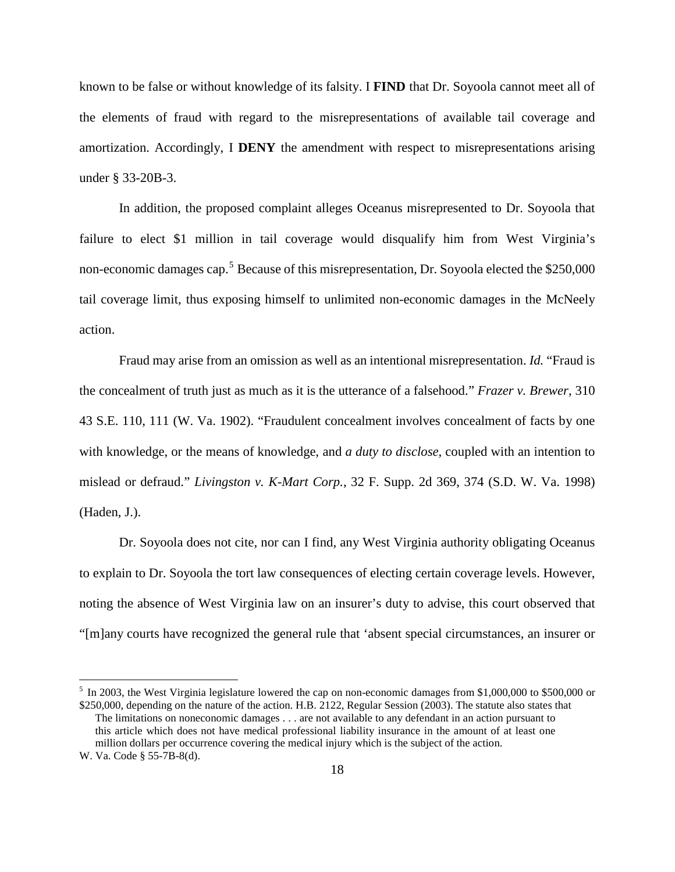known to be false or without knowledge of its falsity. I **FIND** that Dr. Soyoola cannot meet all of the elements of fraud with regard to the misrepresentations of available tail coverage and amortization. Accordingly, I **DENY** the amendment with respect to misrepresentations arising under § 33-20B-3.

In addition, the proposed complaint alleges Oceanus misrepresented to Dr. Soyoola that failure to elect \$1 million in tail coverage would disqualify him from West Virginia's non-economic damages cap.<sup>5</sup> Because of this misrepresentation, Dr. Soyoola elected the \$250,000 tail coverage limit, thus exposing himself to unlimited non-economic damages in the McNeely action.

Fraud may arise from an omission as well as an intentional misrepresentation. *Id.* "Fraud is the concealment of truth just as much as it is the utterance of a falsehood." *Frazer v. Brewer*, 310 43 S.E. 110, 111 (W. Va. 1902). "Fraudulent concealment involves concealment of facts by one with knowledge, or the means of knowledge, and *a duty to disclose*, coupled with an intention to mislead or defraud." *Livingston v. K-Mart Corp.*, 32 F. Supp. 2d 369, 374 (S.D. W. Va. 1998) (Haden, J.).

Dr. Soyoola does not cite, nor can I find, any West Virginia authority obligating Oceanus to explain to Dr. Soyoola the tort law consequences of electing certain coverage levels. However, noting the absence of West Virginia law on an insurer's duty to advise, this court observed that "[m]any courts have recognized the general rule that 'absent special circumstances, an insurer or

 $\overline{a}$ 

<sup>&</sup>lt;sup>5</sup> In 2003, the West Virginia legislature lowered the cap on non-economic damages from \$1,000,000 to \$500,000 or \$250,000, depending on the nature of the action. H.B. 2122, Regular Session (2003). The statute also states that

The limitations on noneconomic damages . . . are not available to any defendant in an action pursuant to this article which does not have medical professional liability insurance in the amount of at least one million dollars per occurrence covering the medical injury which is the subject of the action.

W. Va. Code § 55-7B-8(d).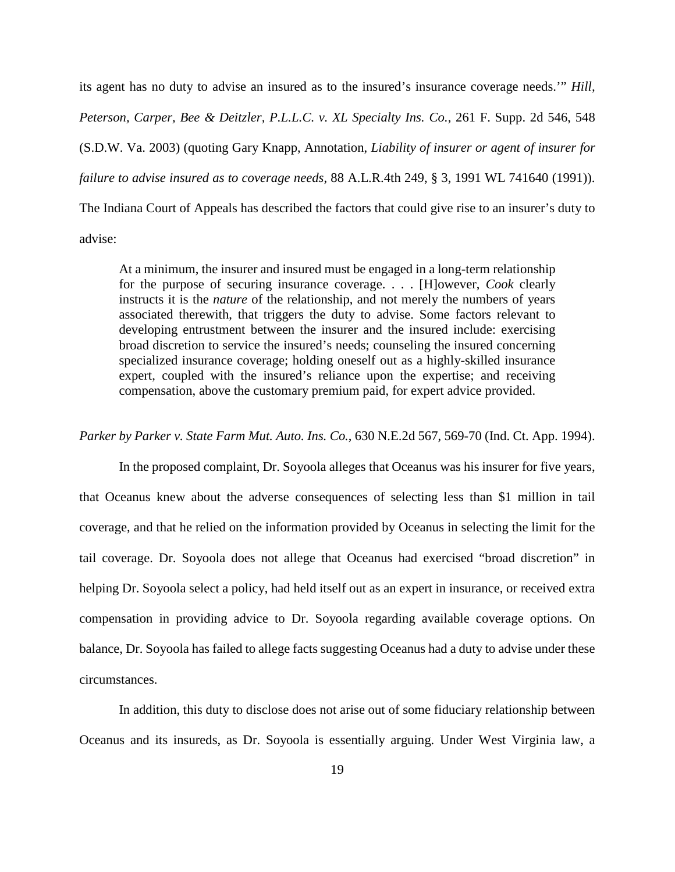its agent has no duty to advise an insured as to the insured's insurance coverage needs.'" *Hill, Peterson, Carper, Bee & Deitzler, P.L.L.C. v. XL Specialty Ins. Co.*, 261 F. Supp. 2d 546, 548 (S.D.W. Va. 2003) (quoting Gary Knapp, Annotation, *Liability of insurer or agent of insurer for failure to advise insured as to coverage needs*, 88 A.L.R.4th 249, § 3, 1991 WL 741640 (1991)). The Indiana Court of Appeals has described the factors that could give rise to an insurer's duty to

advise:

At a minimum, the insurer and insured must be engaged in a long-term relationship for the purpose of securing insurance coverage. . . . [H]owever, *Cook* clearly instructs it is the *nature* of the relationship, and not merely the numbers of years associated therewith, that triggers the duty to advise. Some factors relevant to developing entrustment between the insurer and the insured include: exercising broad discretion to service the insured's needs; counseling the insured concerning specialized insurance coverage; holding oneself out as a highly-skilled insurance expert, coupled with the insured's reliance upon the expertise; and receiving compensation, above the customary premium paid, for expert advice provided.

*Parker by Parker v. State Farm Mut. Auto. Ins. Co.*, 630 N.E.2d 567, 569-70 (Ind. Ct. App. 1994).

In the proposed complaint, Dr. Soyoola alleges that Oceanus was his insurer for five years, that Oceanus knew about the adverse consequences of selecting less than \$1 million in tail coverage, and that he relied on the information provided by Oceanus in selecting the limit for the tail coverage. Dr. Soyoola does not allege that Oceanus had exercised "broad discretion" in helping Dr. Soyoola select a policy, had held itself out as an expert in insurance, or received extra compensation in providing advice to Dr. Soyoola regarding available coverage options. On balance, Dr. Soyoola has failed to allege facts suggesting Oceanus had a duty to advise under these circumstances.

In addition, this duty to disclose does not arise out of some fiduciary relationship between Oceanus and its insureds, as Dr. Soyoola is essentially arguing. Under West Virginia law, a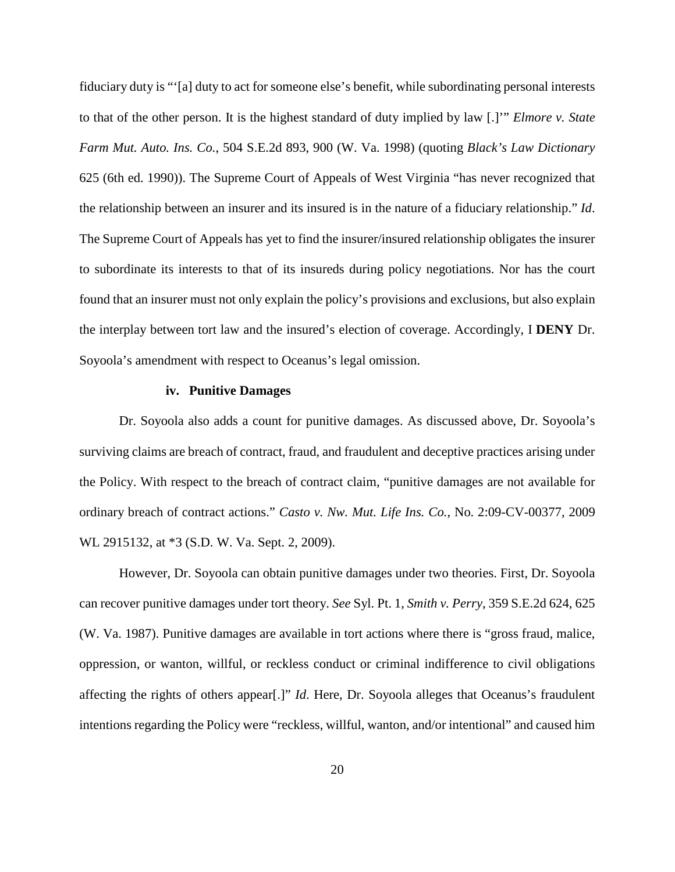fiduciary duty is "'[a] duty to act for someone else's benefit, while subordinating personal interests to that of the other person. It is the highest standard of duty implied by law [.]'" *Elmore v. State Farm Mut. Auto. Ins. Co.*, 504 S.E.2d 893, 900 (W. Va. 1998) (quoting *Black's Law Dictionary* 625 (6th ed. 1990)). The Supreme Court of Appeals of West Virginia "has never recognized that the relationship between an insurer and its insured is in the nature of a fiduciary relationship." *Id*. The Supreme Court of Appeals has yet to find the insurer/insured relationship obligates the insurer to subordinate its interests to that of its insureds during policy negotiations. Nor has the court found that an insurer must not only explain the policy's provisions and exclusions, but also explain the interplay between tort law and the insured's election of coverage. Accordingly, I **DENY** Dr. Soyoola's amendment with respect to Oceanus's legal omission.

#### **iv. Punitive Damages**

Dr. Soyoola also adds a count for punitive damages. As discussed above, Dr. Soyoola's surviving claims are breach of contract, fraud, and fraudulent and deceptive practices arising under the Policy. With respect to the breach of contract claim, "punitive damages are not available for ordinary breach of contract actions." *Casto v. Nw. Mut. Life Ins. Co.*, No. 2:09-CV-00377, 2009 WL 2915132, at \*3 (S.D. W. Va. Sept. 2, 2009).

However, Dr. Soyoola can obtain punitive damages under two theories. First, Dr. Soyoola can recover punitive damages under tort theory. *See* Syl. Pt. 1, *Smith v. Perry*, 359 S.E.2d 624, 625 (W. Va. 1987). Punitive damages are available in tort actions where there is "gross fraud, malice, oppression, or wanton, willful, or reckless conduct or criminal indifference to civil obligations affecting the rights of others appear[.]" *Id*. Here, Dr. Soyoola alleges that Oceanus's fraudulent intentions regarding the Policy were "reckless, willful, wanton, and/or intentional" and caused him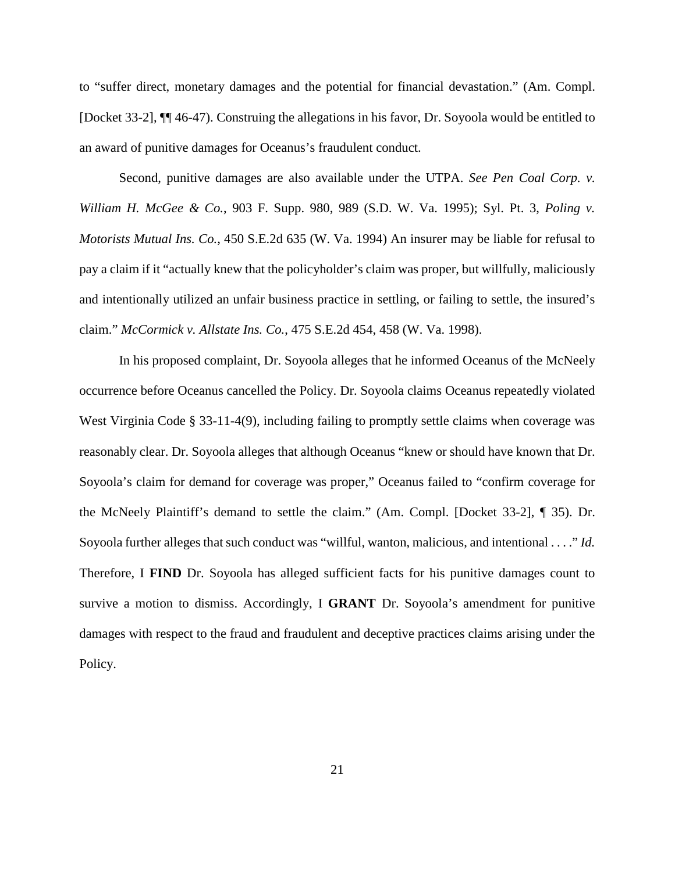to "suffer direct, monetary damages and the potential for financial devastation." (Am. Compl. [Docket 33-2], ¶¶ 46-47). Construing the allegations in his favor, Dr. Soyoola would be entitled to an award of punitive damages for Oceanus's fraudulent conduct.

Second, punitive damages are also available under the UTPA. *See Pen Coal Corp. v. William H. McGee & Co.*, 903 F. Supp. 980, 989 (S.D. W. Va. 1995); Syl. Pt. 3, *Poling v. Motorists Mutual Ins. Co.*, 450 S.E.2d 635 (W. Va. 1994) An insurer may be liable for refusal to pay a claim if it "actually knew that the policyholder's claim was proper, but willfully, maliciously and intentionally utilized an unfair business practice in settling, or failing to settle, the insured's claim." *McCormick v. Allstate Ins. Co.*, 475 S.E.2d 454, 458 (W. Va. 1998).

In his proposed complaint, Dr. Soyoola alleges that he informed Oceanus of the McNeely occurrence before Oceanus cancelled the Policy. Dr. Soyoola claims Oceanus repeatedly violated West Virginia Code § 33-11-4(9), including failing to promptly settle claims when coverage was reasonably clear. Dr. Soyoola alleges that although Oceanus "knew or should have known that Dr. Soyoola's claim for demand for coverage was proper," Oceanus failed to "confirm coverage for the McNeely Plaintiff's demand to settle the claim." (Am. Compl. [Docket 33-2], ¶ 35). Dr. Soyoola further alleges that such conduct was "willful, wanton, malicious, and intentional . . . ." *Id.*  Therefore, I **FIND** Dr. Soyoola has alleged sufficient facts for his punitive damages count to survive a motion to dismiss. Accordingly, I **GRANT** Dr. Soyoola's amendment for punitive damages with respect to the fraud and fraudulent and deceptive practices claims arising under the Policy.